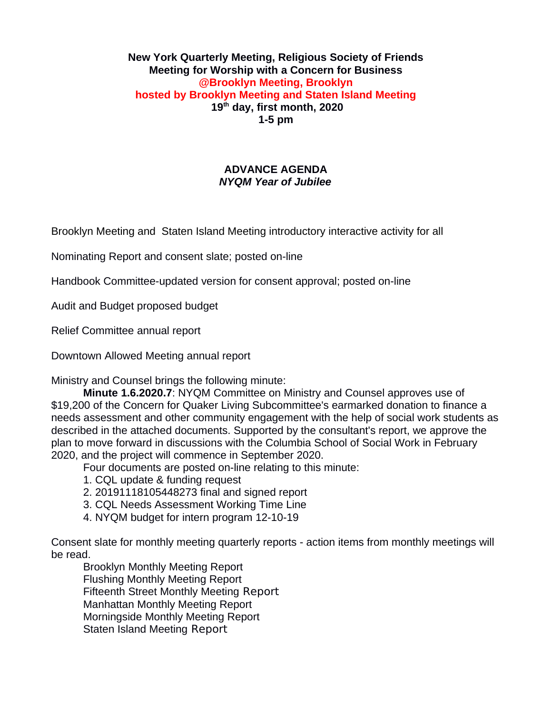#### **New York Quarterly Meeting, Religious Society of Friends Meeting for Worship with a Concern for Business @Brooklyn Meeting, Brooklyn hosted by Brooklyn Meeting and Staten Island Meeting 19th day, first month, 2020 1-5 pm**

### **ADVANCE AGENDA** *NYQM Year of Jubilee*

Brooklyn Meeting and Staten Island Meeting introductory interactive activity for all

Nominating Report and consent slate; posted on-line

Handbook Committee-updated version for consent approval; posted on-line

Audit and Budget proposed budget

Relief Committee annual report

Downtown Allowed Meeting annual report

Ministry and Counsel brings the following minute:

**Minute 1.6.2020.7**: NYQM Committee on Ministry and Counsel approves use of \$19,200 of the Concern for Quaker Living Subcommittee's earmarked donation to finance a needs assessment and other community engagement with the help of social work students as described in the attached documents. Supported by the consultant's report, we approve the plan to move forward in discussions with the Columbia School of Social Work in February 2020, and the project will commence in September 2020.

Four documents are posted on-line relating to this minute:

- 1. CQL update & funding request
- 2. 20191118105448273 final and signed report
- 3. CQL Needs Assessment Working Time Line
- 4. NYQM budget for intern program 12-10-19

Consent slate for monthly meeting quarterly reports - action items from monthly meetings will be read.

Brooklyn Monthly Meeting Report Flushing Monthly Meeting Report Fifteenth Street Monthly Meeting Report Manhattan Monthly Meeting Report Morningside Monthly Meeting Report Staten Island Meeting Report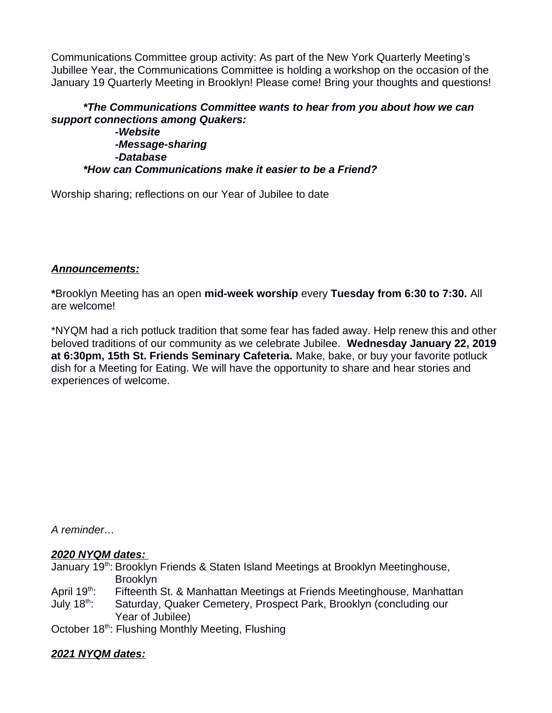Communications Committee group activity: As part of the New York Quarterly Meeting's Jubillee Year, the Communications Committee is holding a workshop on the occasion of the January 19 Quarterly Meeting in Brooklyn! Please come! Bring your thoughts and questions!

# *\*The Communications Committee wants to hear from you about how we can support connections among Quakers:*

*-Website -Message-sharing -Database \*How can Communications make it easier to be a Friend?*

Worship sharing; reflections on our Year of Jubilee to date

#### *Announcements:*

**\***Brooklyn Meeting has an open **mid-week worship** every **Tuesday from 6:30 to 7:30.** All are welcome!

\*NYQM had a rich potluck tradition that some fear has faded away. Help renew this and other beloved traditions of our community as we celebrate Jubilee. **Wednesday January 22, 2019 at 6:30pm, 15th St. Friends Seminary Cafeteria.** Make, bake, or buy your favorite potluck dish for a Meeting for Eating. We will have the opportunity to share and hear stories and experiences of welcome.

*A reminder…*

#### *2020 NYQM dates:*

January 19<sup>th</sup>: Brooklyn Friends & Staten Island Meetings at Brooklyn Meetinghouse, Brooklyn

- April 19<sup>th</sup>: Fifteenth St. & Manhattan Meetings at Friends Meetinghouse, Manhattan
- July 18<sup>th</sup>: Saturday, Quaker Cemetery, Prospect Park, Brooklyn (concluding our Year of Jubilee)

October 18<sup>th</sup>: Flushing Monthly Meeting, Flushing

# *2021 NYQM dates:*